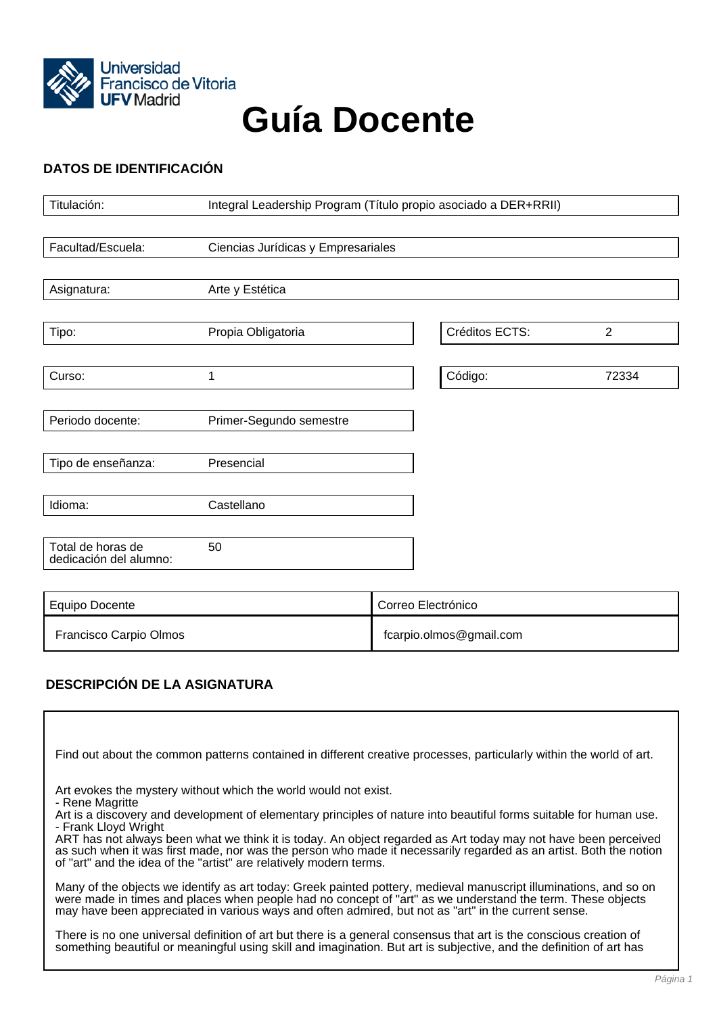

# **Guía Docente**

# **DATOS DE IDENTIFICACIÓN**

| Titulación:                                 | Integral Leadership Program (Título propio asociado a DER+RRII) |                    |                |                |
|---------------------------------------------|-----------------------------------------------------------------|--------------------|----------------|----------------|
|                                             |                                                                 |                    |                |                |
| Facultad/Escuela:                           | Ciencias Jurídicas y Empresariales                              |                    |                |                |
|                                             |                                                                 |                    |                |                |
| Asignatura:                                 | Arte y Estética                                                 |                    |                |                |
|                                             |                                                                 |                    |                |                |
| Tipo:                                       | Propia Obligatoria                                              |                    | Créditos ECTS: | $\overline{2}$ |
|                                             |                                                                 |                    |                |                |
| Curso:                                      | 1                                                               |                    | Código:        | 72334          |
|                                             |                                                                 |                    |                |                |
| Periodo docente:                            | Primer-Segundo semestre                                         |                    |                |                |
|                                             |                                                                 |                    |                |                |
| Tipo de enseñanza:                          | Presencial                                                      |                    |                |                |
|                                             |                                                                 |                    |                |                |
| Idioma:                                     | Castellano                                                      |                    |                |                |
|                                             |                                                                 |                    |                |                |
| Total de horas de<br>dedicación del alumno: | 50                                                              |                    |                |                |
|                                             |                                                                 |                    |                |                |
| Equipo Docente                              |                                                                 | Correo Electrónico |                |                |

Francisco Carpio Olmos **finally and the Carpio Carpio Carpio Carpio** fcarpio.olmos@gmail.com

# **DESCRIPCIÓN DE LA ASIGNATURA**

| Find out about the common patterns contained in different creative processes, particularly within the world of art.                                                                                                                                                                                                                                                                                                                                                                                                                           |  |
|-----------------------------------------------------------------------------------------------------------------------------------------------------------------------------------------------------------------------------------------------------------------------------------------------------------------------------------------------------------------------------------------------------------------------------------------------------------------------------------------------------------------------------------------------|--|
| Art evokes the mystery without which the world would not exist.<br>- Rene Magritte<br>Art is a discovery and development of elementary principles of nature into beautiful forms suitable for human use.<br>- Frank Lloyd Wright<br>ART has not always been what we think it is today. An object regarded as Art today may not have been perceived<br>as such when it was first made, nor was the person who made it necessarily regarded as an artist. Both the notion<br>of "art" and the idea of the "artist" are relatively modern terms. |  |
| Many of the objects we identify as art today: Greek painted pottery, medieval manuscript illuminations, and so on<br>were made in times and places when people had no concept of "art" as we understand the term. These objects<br>may have been appreciated in various ways and often admired, but not as "art" in the current sense.                                                                                                                                                                                                        |  |
| There is no one universal definition of art but there is a general consensus that art is the conscious creation of<br>something beautiful or meaningful using skill and imagination. But art is subjective, and the definition of art has                                                                                                                                                                                                                                                                                                     |  |
| Pagina <sup>.</sup>                                                                                                                                                                                                                                                                                                                                                                                                                                                                                                                           |  |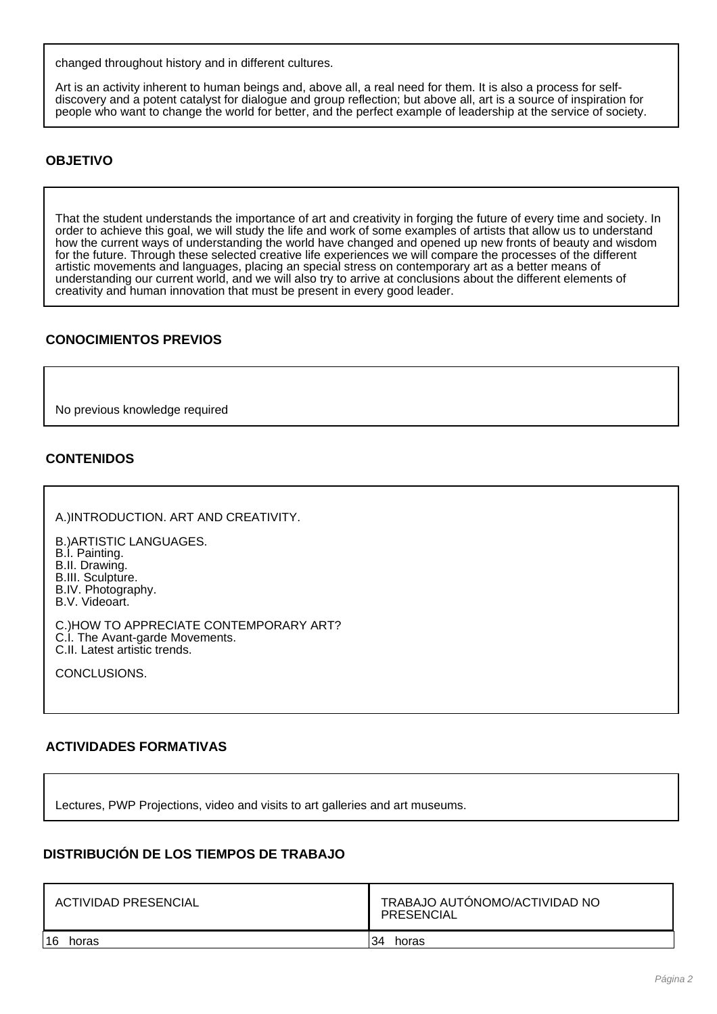changed throughout history and in different cultures.

Art is an activity inherent to human beings and, above all, a real need for them. It is also a process for selfdiscovery and a potent catalyst for dialogue and group reflection; but above all, art is a source of inspiration for people who want to change the world for better, and the perfect example of leadership at the service of society.

### **OBJETIVO**

That the student understands the importance of art and creativity in forging the future of every time and society. In order to achieve this goal, we will study the life and work of some examples of artists that allow us to understand how the current ways of understanding the world have changed and opened up new fronts of beauty and wisdom for the future. Through these selected creative life experiences we will compare the processes of the different artistic movements and languages, placing an special stress on contemporary art as a better means of understanding our current world, and we will also try to arrive at conclusions about the different elements of creativity and human innovation that must be present in every good leader.

### **CONOCIMIENTOS PREVIOS**

No previous knowledge required

#### **CONTENIDOS**

A.)INTRODUCTION. ART AND CREATIVITY.

B.)ARTISTIC LANGUAGES. B.I. Painting. B.II. Drawing. B.III. Sculpture. B.IV. Photography. B.V. Videoart.

C.)HOW TO APPRECIATE CONTEMPORARY ART? C.I. The Avant-garde Movements. C.II. Latest artistic trends.

CONCLUSIONS.

#### **ACTIVIDADES FORMATIVAS**

Lectures, PWP Projections, video and visits to art galleries and art museums.

#### **DISTRIBUCIÓN DE LOS TIEMPOS DE TRABAJO**

| <b>ACTIVIDAD PRESENCIAL</b> | TRABAJO AUTÓNOMO/ACTIVIDAD NO<br><b>PRESENCIAL</b> |  |
|-----------------------------|----------------------------------------------------|--|
| 16                          | 34                                                 |  |
| horas                       | horas                                              |  |